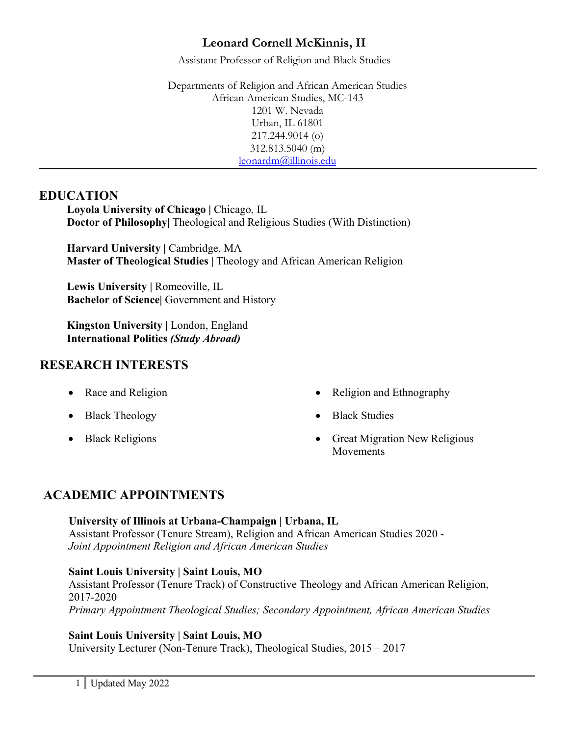Assistant Professor of Religion and Black Studies

Departments of Religion and African American Studies African American Studies, MC-143 1201 W. Nevada Urban, IL 61801 217.244.9014 (o) 312.813.5040 (m) leonardm@illinois.edu

## **EDUCATION**

Loyola University of Chicago | Chicago, IL **Doctor of Philosophy** Theological and Religious Studies (With Distinction)

**Harvard University |** Cambridge, MA **Master of Theological Studies |** Theology and African American Religion

Lewis University | Romeoville, IL **Bachelor of Science|** Government and History

**Kingston University | London, England International Politics** *(Study Abroad)*

# **RESEARCH INTERESTS**

- 
- Black Theology Black Studies
- 
- Race and Religion Religion Religion and Ethnography
	-
- Black Religions Great Migration New Religious Movements

# **ACADEMIC APPOINTMENTS**

**University of Illinois at Urbana-Champaign | Urbana, IL** Assistant Professor (Tenure Stream), Religion and African American Studies 2020 - *Joint Appointment Religion and African American Studies* 

## **Saint Louis University | Saint Louis, MO**

Assistant Professor (Tenure Track) of Constructive Theology and African American Religion, 2017-2020 *Primary Appointment Theological Studies; Secondary Appointment, African American Studies* 

## **Saint Louis University | Saint Louis, MO**

University Lecturer (Non-Tenure Track), Theological Studies, 2015 – 2017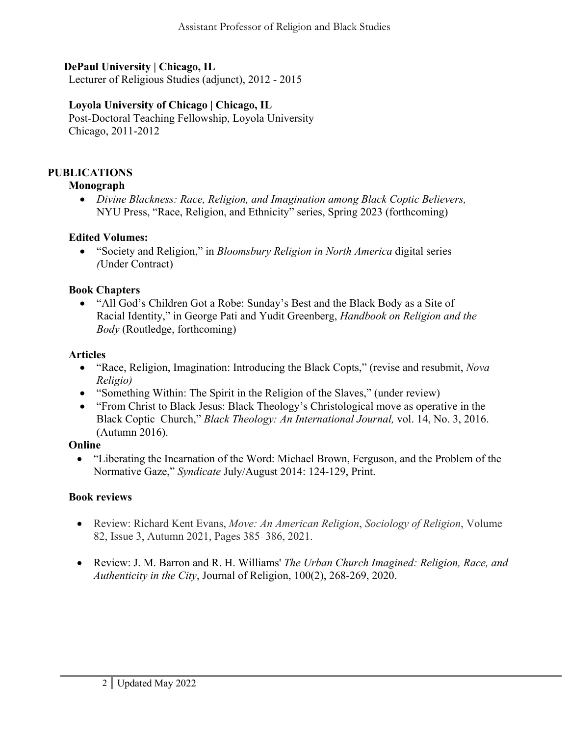## **DePaul University | Chicago, IL**

Lecturer of Religious Studies (adjunct), 2012 - 2015

## **Loyola University of Chicago | Chicago, IL**

Post-Doctoral Teaching Fellowship, Loyola University Chicago, 2011-2012

### **PUBLICATIONS**

#### **Monograph**

• *Divine Blackness: Race, Religion, and Imagination among Black Coptic Believers,*  NYU Press, "Race, Religion, and Ethnicity" series, Spring 2023 (forthcoming)

### **Edited Volumes:**

• "Society and Religion," in *Bloomsbury Religion in North America* digital series *(*Under Contract)

### **Book Chapters**

• "All God's Children Got a Robe: Sunday's Best and the Black Body as a Site of Racial Identity," in George Pati and Yudit Greenberg, *Handbook on Religion and the Body* (Routledge, forthcoming)

#### **Articles**

- "Race, Religion, Imagination: Introducing the Black Copts," (revise and resubmit, *Nova Religio)*
- "Something Within: The Spirit in the Religion of the Slaves," (under review)
- "From Christ to Black Jesus: Black Theology's Christological move as operative in the Black Coptic Church," *Black Theology: An International Journal,* vol. 14, No. 3, 2016. (Autumn 2016).

#### **Online**

• "Liberating the Incarnation of the Word: Michael Brown, Ferguson, and the Problem of the Normative Gaze," *Syndicate* July/August 2014: 124-129, Print.

### **Book reviews**

- Review: Richard Kent Evans, *Move: An American Religion*, *Sociology of Religion*, Volume 82, Issue 3, Autumn 2021, Pages 385–386, 2021.
- Review: J. M. Barron and R. H. Williams' *The Urban Church Imagined: Religion, Race, and Authenticity in the City*, Journal of Religion, 100(2), 268-269, 2020.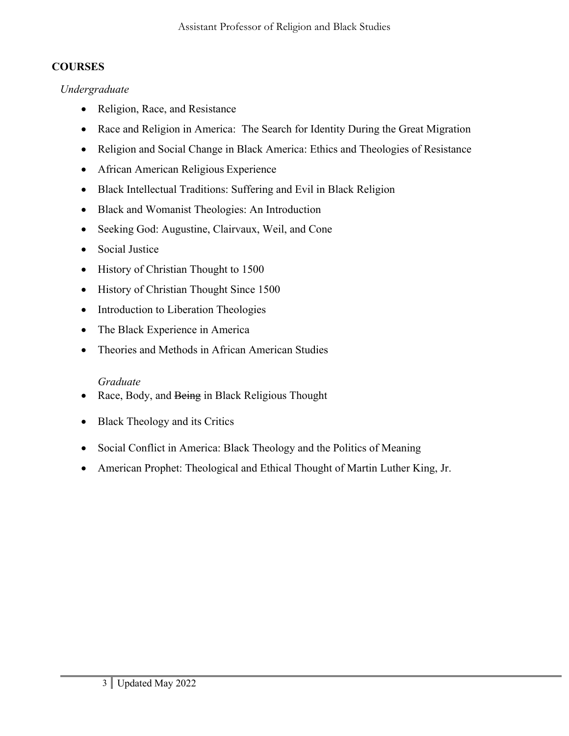# **COURSES**

## *Undergraduate*

- Religion, Race, and Resistance
- Race and Religion in America: The Search for Identity During the Great Migration
- Religion and Social Change in Black America: Ethics and Theologies of Resistance
- African American Religious Experience
- Black Intellectual Traditions: Suffering and Evil in Black Religion
- Black and Womanist Theologies: An Introduction
- Seeking God: Augustine, Clairvaux, Weil, and Cone
- Social Justice
- History of Christian Thought to 1500
- History of Christian Thought Since 1500
- Introduction to Liberation Theologies
- The Black Experience in America
- Theories and Methods in African American Studies

# *Graduate*

- Race, Body, and Being in Black Religious Thought
- Black Theology and its Critics
- Social Conflict in America: Black Theology and the Politics of Meaning
- American Prophet: Theological and Ethical Thought of Martin Luther King, Jr.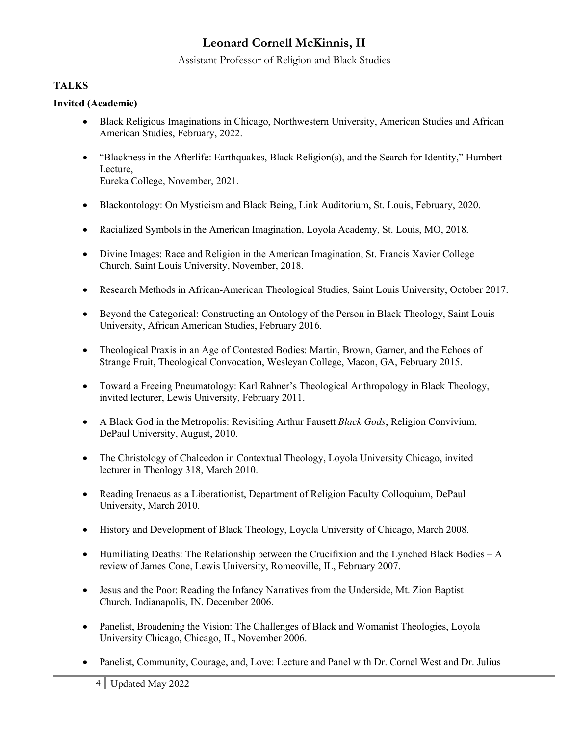Assistant Professor of Religion and Black Studies

## **TALKS**

#### **Invited (Academic)**

- Black Religious Imaginations in Chicago, Northwestern University, American Studies and African American Studies, February, 2022.
- "Blackness in the Afterlife: Earthquakes, Black Religion(s), and the Search for Identity," Humbert Lecture, Eureka College, November, 2021.
- Blackontology: On Mysticism and Black Being, Link Auditorium, St. Louis, February, 2020.
- Racialized Symbols in the American Imagination, Loyola Academy, St. Louis, MO, 2018.
- Divine Images: Race and Religion in the American Imagination, St. Francis Xavier College Church, Saint Louis University, November, 2018.
- Research Methods in African-American Theological Studies, Saint Louis University, October 2017.
- Beyond the Categorical: Constructing an Ontology of the Person in Black Theology, Saint Louis University, African American Studies, February 2016.
- Theological Praxis in an Age of Contested Bodies: Martin, Brown, Garner, and the Echoes of Strange Fruit, Theological Convocation, Wesleyan College, Macon, GA, February 2015.
- Toward a Freeing Pneumatology: Karl Rahner's Theological Anthropology in Black Theology, invited lecturer, Lewis University, February 2011.
- A Black God in the Metropolis: Revisiting Arthur Fausett *Black Gods*, Religion Convivium, DePaul University, August, 2010.
- The Christology of Chalcedon in Contextual Theology, Loyola University Chicago, invited lecturer in Theology 318, March 2010.
- Reading Irenaeus as a Liberationist, Department of Religion Faculty Colloquium, DePaul University, March 2010.
- History and Development of Black Theology, Loyola University of Chicago, March 2008.
- Humiliating Deaths: The Relationship between the Crucifixion and the Lynched Black Bodies  $-A$ review of James Cone, Lewis University, Romeoville, IL, February 2007.
- Jesus and the Poor: Reading the Infancy Narratives from the Underside, Mt. Zion Baptist Church, Indianapolis, IN, December 2006.
- Panelist, Broadening the Vision: The Challenges of Black and Womanist Theologies, Loyola University Chicago, Chicago, IL, November 2006.
- Panelist, Community, Courage, and, Love: Lecture and Panel with Dr. Cornel West and Dr. Julius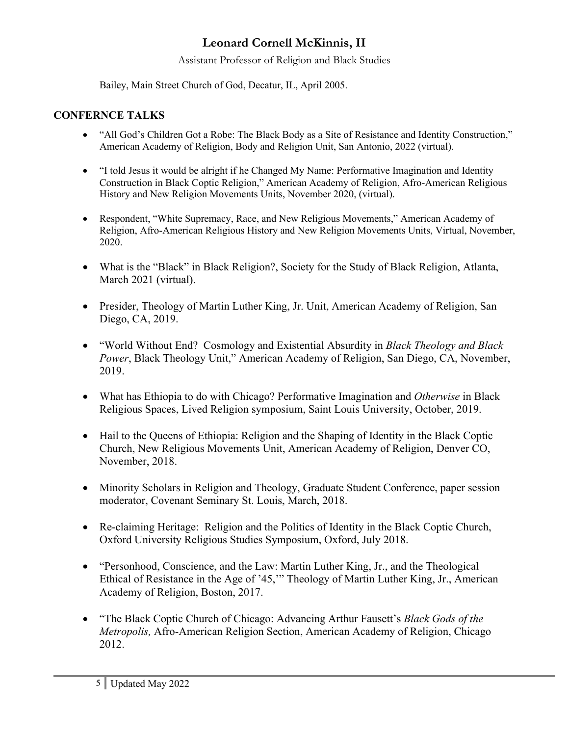Assistant Professor of Religion and Black Studies

Bailey, Main Street Church of God, Decatur, IL, April 2005.

## **CONFERNCE TALKS**

- "All God's Children Got a Robe: The Black Body as a Site of Resistance and Identity Construction," American Academy of Religion, Body and Religion Unit, San Antonio, 2022 (virtual).
- "I told Jesus it would be alright if he Changed My Name: Performative Imagination and Identity Construction in Black Coptic Religion," American Academy of Religion, Afro-American Religious History and New Religion Movements Units, November 2020, (virtual).
- Respondent, "White Supremacy, Race, and New Religious Movements," American Academy of Religion, Afro-American Religious History and New Religion Movements Units, Virtual, November, 2020.
- What is the "Black" in Black Religion?, Society for the Study of Black Religion, Atlanta, March 2021 (virtual).
- Presider, Theology of Martin Luther King, Jr. Unit, American Academy of Religion, San Diego, CA, 2019.
- "World Without End? Cosmology and Existential Absurdity in *Black Theology and Black Power*, Black Theology Unit," American Academy of Religion, San Diego, CA, November, 2019.
- What has Ethiopia to do with Chicago? Performative Imagination and *Otherwise* in Black Religious Spaces, Lived Religion symposium, Saint Louis University, October, 2019.
- Hail to the Queens of Ethiopia: Religion and the Shaping of Identity in the Black Coptic Church, New Religious Movements Unit, American Academy of Religion, Denver CO, November, 2018.
- Minority Scholars in Religion and Theology, Graduate Student Conference, paper session moderator, Covenant Seminary St. Louis, March, 2018.
- Re-claiming Heritage: Religion and the Politics of Identity in the Black Coptic Church, Oxford University Religious Studies Symposium, Oxford, July 2018.
- "Personhood, Conscience, and the Law: Martin Luther King, Jr., and the Theological Ethical of Resistance in the Age of '45,'" Theology of Martin Luther King, Jr., American Academy of Religion, Boston, 2017.
- "The Black Coptic Church of Chicago: Advancing Arthur Fausett's *Black Gods of the Metropolis,* Afro-American Religion Section, American Academy of Religion, Chicago 2012.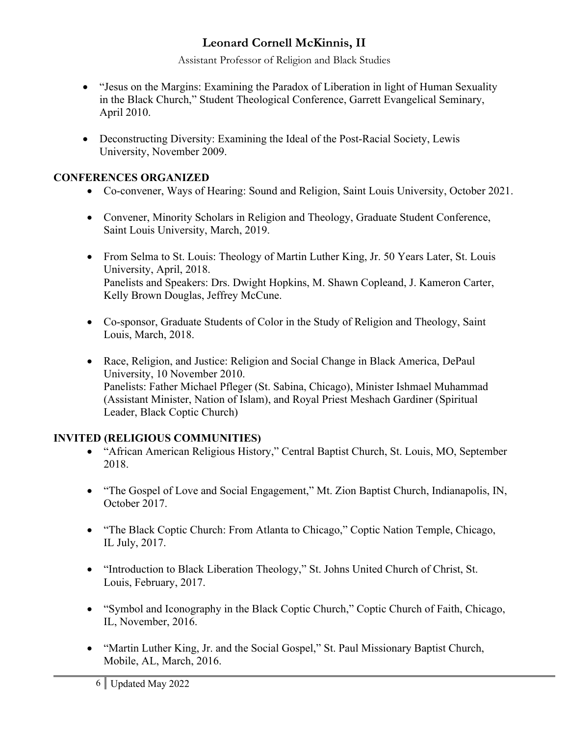Assistant Professor of Religion and Black Studies

- "Jesus on the Margins: Examining the Paradox of Liberation in light of Human Sexuality in the Black Church," Student Theological Conference, Garrett Evangelical Seminary, April 2010.
- Deconstructing Diversity: Examining the Ideal of the Post-Racial Society, Lewis University, November 2009.

# **CONFERENCES ORGANIZED**

- Co-convener, Ways of Hearing: Sound and Religion, Saint Louis University, October 2021.
- Convener, Minority Scholars in Religion and Theology, Graduate Student Conference, Saint Louis University, March, 2019.
- From Selma to St. Louis: Theology of Martin Luther King, Jr. 50 Years Later, St. Louis University, April, 2018. Panelists and Speakers: Drs. Dwight Hopkins, M. Shawn Copleand, J. Kameron Carter, Kelly Brown Douglas, Jeffrey McCune.
- Co-sponsor, Graduate Students of Color in the Study of Religion and Theology, Saint Louis, March, 2018.
- Race, Religion, and Justice: Religion and Social Change in Black America, DePaul University, 10 November 2010. Panelists: Father Michael Pfleger (St. Sabina, Chicago), Minister Ishmael Muhammad (Assistant Minister, Nation of Islam), and Royal Priest Meshach Gardiner (Spiritual Leader, Black Coptic Church)

# **INVITED (RELIGIOUS COMMUNITIES)**

- "African American Religious History," Central Baptist Church, St. Louis, MO, September 2018.
- "The Gospel of Love and Social Engagement," Mt. Zion Baptist Church, Indianapolis, IN, October 2017.
- "The Black Coptic Church: From Atlanta to Chicago," Coptic Nation Temple, Chicago, IL July, 2017.
- "Introduction to Black Liberation Theology," St. Johns United Church of Christ, St. Louis, February, 2017.
- "Symbol and Iconography in the Black Coptic Church," Coptic Church of Faith, Chicago, IL, November, 2016.
- "Martin Luther King, Jr. and the Social Gospel," St. Paul Missionary Baptist Church, Mobile, AL, March, 2016.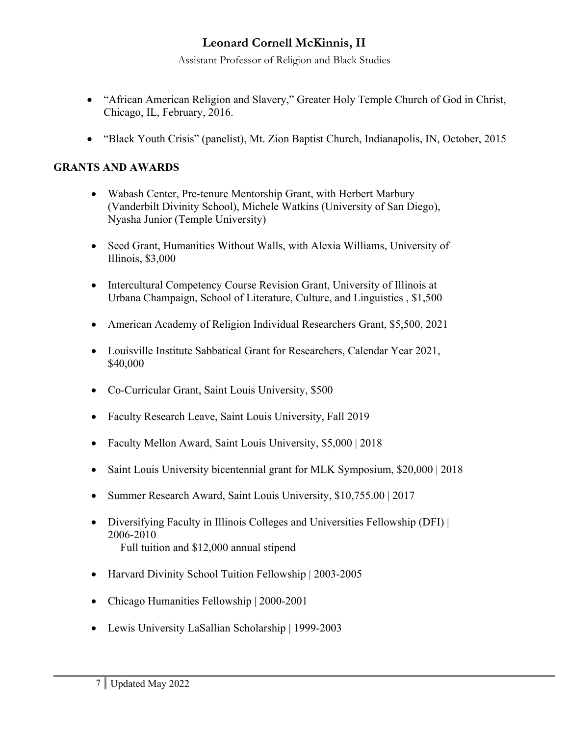Assistant Professor of Religion and Black Studies

- "African American Religion and Slavery," Greater Holy Temple Church of God in Christ, Chicago, IL, February, 2016.
- "Black Youth Crisis" (panelist), Mt. Zion Baptist Church, Indianapolis, IN, October, 2015

## **GRANTS AND AWARDS**

- Wabash Center, Pre-tenure Mentorship Grant, with Herbert Marbury (Vanderbilt Divinity School), Michele Watkins (University of San Diego), Nyasha Junior (Temple University)
- Seed Grant, Humanities Without Walls, with Alexia Williams, University of Illinois, \$3,000
- Intercultural Competency Course Revision Grant, University of Illinois at Urbana Champaign, School of Literature, Culture, and Linguistics , \$1,500
- American Academy of Religion Individual Researchers Grant, \$5,500, 2021
- Louisville Institute Sabbatical Grant for Researchers, Calendar Year 2021, \$40,000
- Co-Curricular Grant, Saint Louis University, \$500
- Faculty Research Leave, Saint Louis University, Fall 2019
- Faculty Mellon Award, Saint Louis University, \$5,000 | 2018
- Saint Louis University bicentennial grant for MLK Symposium, \$20,000 | 2018
- Summer Research Award, Saint Louis University, \$10,755.00 | 2017
- Diversifying Faculty in Illinois Colleges and Universities Fellowship (DFI) | 2006-2010 Full tuition and \$12,000 annual stipend
- Harvard Divinity School Tuition Fellowship | 2003-2005
- Chicago Humanities Fellowship | 2000-2001
- Lewis University LaSallian Scholarship | 1999-2003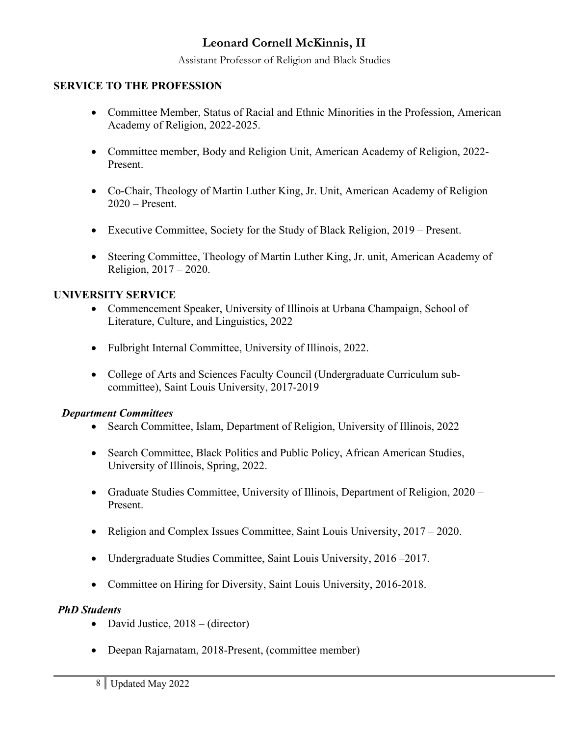Assistant Professor of Religion and Black Studies

### **SERVICE TO THE PROFESSION**

- Committee Member, Status of Racial and Ethnic Minorities in the Profession, American Academy of Religion, 2022-2025.
- Committee member, Body and Religion Unit, American Academy of Religion, 2022- Present.
- Co-Chair, Theology of Martin Luther King, Jr. Unit, American Academy of Religion 2020 – Present.
- Executive Committee, Society for the Study of Black Religion, 2019 Present.
- Steering Committee, Theology of Martin Luther King, Jr. unit, American Academy of Religion, 2017 – 2020.

## **UNIVERSITY SERVICE**

- Commencement Speaker, University of Illinois at Urbana Champaign, School of Literature, Culture, and Linguistics, 2022
- Fulbright Internal Committee, University of Illinois, 2022.
- College of Arts and Sciences Faculty Council (Undergraduate Curriculum subcommittee), Saint Louis University, 2017-2019

### *Department Committees*

- Search Committee, Islam, Department of Religion, University of Illinois, 2022
- Search Committee, Black Politics and Public Policy, African American Studies, University of Illinois, Spring, 2022.
- Graduate Studies Committee, University of Illinois, Department of Religion, 2020 Present.
- Religion and Complex Issues Committee, Saint Louis University, 2017 2020.
- Undergraduate Studies Committee, Saint Louis University, 2016 –2017.
- Committee on Hiring for Diversity, Saint Louis University, 2016-2018.

### *PhD Students*

- David Justice, 2018 (director)
- Deepan Rajarnatam, 2018-Present, (committee member)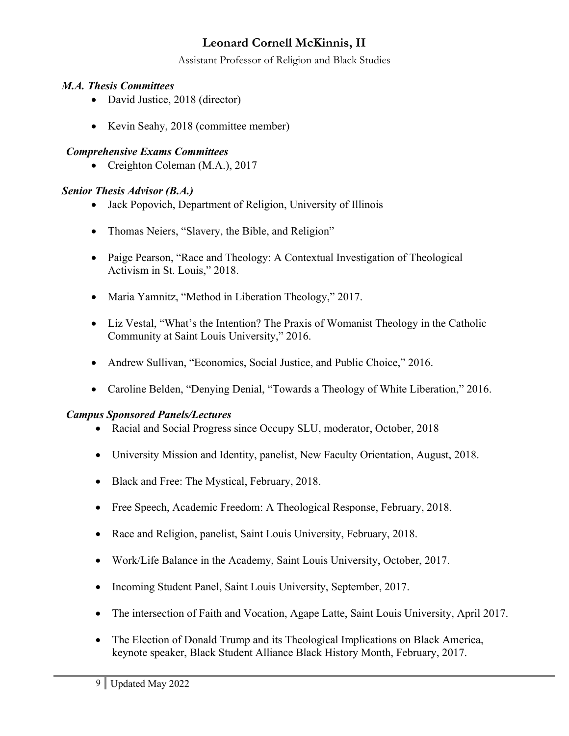Assistant Professor of Religion and Black Studies

## *M.A. Thesis Committees*

- David Justice, 2018 (director)
- Kevin Seahy, 2018 (committee member)

## *Comprehensive Exams Committees*

• Creighton Coleman (M.A.), 2017

# *Senior Thesis Advisor (B.A.)*

- Jack Popovich, Department of Religion, University of Illinois
- Thomas Neiers, "Slavery, the Bible, and Religion"
- Paige Pearson, "Race and Theology: A Contextual Investigation of Theological Activism in St. Louis," 2018.
- Maria Yamnitz, "Method in Liberation Theology," 2017.
- Liz Vestal, "What's the Intention? The Praxis of Womanist Theology in the Catholic Community at Saint Louis University," 2016.
- Andrew Sullivan, "Economics, Social Justice, and Public Choice," 2016.
- Caroline Belden, "Denying Denial, "Towards a Theology of White Liberation," 2016.

## *Campus Sponsored Panels/Lectures*

- Racial and Social Progress since Occupy SLU, moderator, October, 2018
- University Mission and Identity, panelist, New Faculty Orientation, August, 2018.
- Black and Free: The Mystical, February, 2018.
- Free Speech, Academic Freedom: A Theological Response, February, 2018.
- Race and Religion, panelist, Saint Louis University, February, 2018.
- Work/Life Balance in the Academy, Saint Louis University, October, 2017.
- Incoming Student Panel, Saint Louis University, September, 2017.
- The intersection of Faith and Vocation, Agape Latte, Saint Louis University, April 2017.
- The Election of Donald Trump and its Theological Implications on Black America, keynote speaker, Black Student Alliance Black History Month, February, 2017.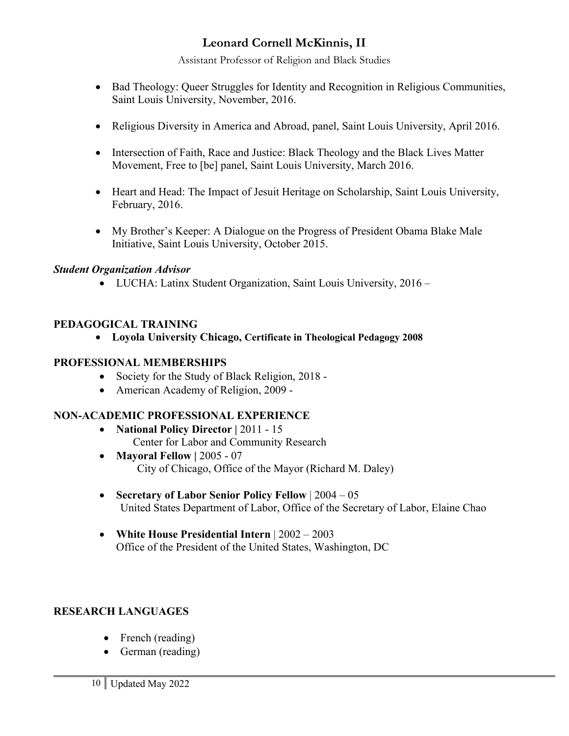Assistant Professor of Religion and Black Studies

- Bad Theology: Queer Struggles for Identity and Recognition in Religious Communities, Saint Louis University, November, 2016.
- Religious Diversity in America and Abroad, panel, Saint Louis University, April 2016.
- Intersection of Faith, Race and Justice: Black Theology and the Black Lives Matter Movement, Free to [be] panel, Saint Louis University, March 2016.
- Heart and Head: The Impact of Jesuit Heritage on Scholarship, Saint Louis University, February, 2016.
- My Brother's Keeper: A Dialogue on the Progress of President Obama Blake Male Initiative, Saint Louis University, October 2015.

## *Student Organization Advisor*

• LUCHA: Latinx Student Organization, Saint Louis University, 2016 –

## **PEDAGOGICAL TRAINING**

• **Loyola University Chicago, Certificate in Theological Pedagogy 2008**

### **PROFESSIONAL MEMBERSHIPS**

- Society for the Study of Black Religion, 2018 -
- American Academy of Religion, 2009 -

### **NON-ACADEMIC PROFESSIONAL EXPERIENCE**

- **National Policy Director** | 2011 15 Center for Labor and Community Research
- **Mayoral Fellow** | 2005 07 City of Chicago, Office of the Mayor (Richard M. Daley)
- **Secretary of Labor Senior Policy Fellow** | 2004 05 United States Department of Labor, Office of the Secretary of Labor, Elaine Chao
- **White House Presidential Intern** | 2002 2003 Office of the President of the United States, Washington, DC

### **RESEARCH LANGUAGES**

- French (reading)
- German (reading)